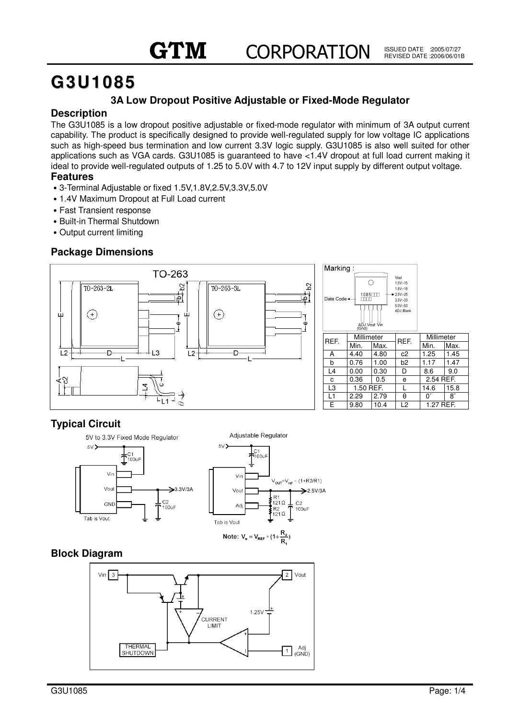# **G3U1085**

# **3A Low Dropout Positive Adjustable or Fixed-Mode Regulator**

#### **Description**

The G3U1085 is a low dropout positive adjustable or fixed-mode regulator with minimum of 3A output current capability. The product is specifically designed to provide well-regulated supply for low voltage IC applications such as high-speed bus termination and low current 3.3V logic supply. G3U1085 is also well suited for other applications such as VGA cards. G3U1085 is guaranteed to have <1.4V dropout at full load current making it ideal to provide well-regulated outputs of 1.25 to 5.0V with 4.7 to 12V input supply by different output voltage.

#### **Features**

- Ԧ3-Terminal Adjustable or fixed 1.5V,1.8V,2.5V,3.3V,5.0V
- 1.4V Maximum Dropout at Full Load current
- Fast Transient response
- Built-in Thermal Shutdown
- Output current limiting

## **Package Dimensions**



# **Typical Circuit**



## **Block Diagram**

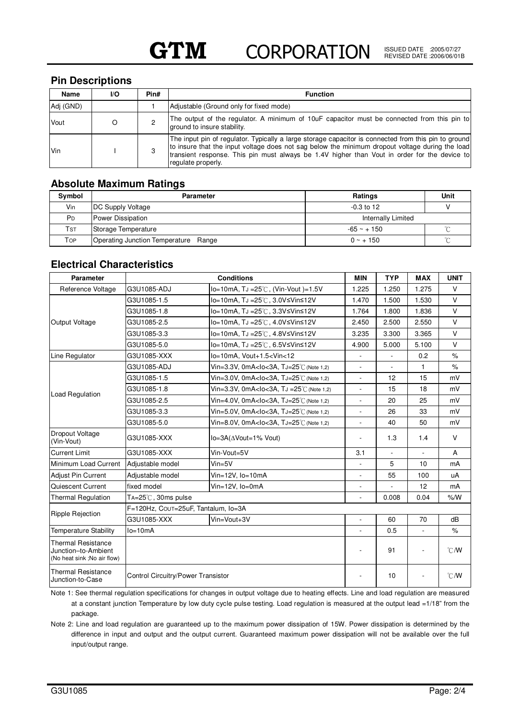#### **Pin Descriptions**

| Name      | I/O | Pin# | <b>Function</b>                                                                                                                                                                                                                                                                                                               |
|-----------|-----|------|-------------------------------------------------------------------------------------------------------------------------------------------------------------------------------------------------------------------------------------------------------------------------------------------------------------------------------|
| Adj (GND) |     |      | Adjustable (Ground only for fixed mode)                                                                                                                                                                                                                                                                                       |
| Vout      |     |      | The output of the regulator. A minimum of 10uF capacitor must be connected from this pin to<br>ground to insure stability.                                                                                                                                                                                                    |
| Vin       |     | 3    | The input pin of regulator. Typically a large storage capacitor is connected from this pin to ground<br>to insure that the input voltage does not sag below the minimum dropout voltage during the load<br>transient response. This pin must always be 1.4V higher than Vout in order for the device to<br>regulate properly. |

## **Absolute Maximum Ratings**

| Symbol         | <b>Parameter</b>                     | <b>Ratings</b>            | Unit |  |
|----------------|--------------------------------------|---------------------------|------|--|
| Vin            | <b>DC Supply Voltage</b>             | $-0.3$ to 12              |      |  |
| P <sub>D</sub> | Power Dissipation                    | <b>Internally Limited</b> |      |  |
| Tst            | Storage Temperature                  | $-65 - + 150$             |      |  |
| Top            | Operating Junction Temperature Range | $0 \sim + 150$            |      |  |

## **Electrical Characteristics**

| <b>Parameter</b>                                                                | <b>Conditions</b>                   |                                                                                                                                                                                                                   |                          | <b>TYP</b>               | <b>MAX</b> | <b>UNIT</b>    |  |  |
|---------------------------------------------------------------------------------|-------------------------------------|-------------------------------------------------------------------------------------------------------------------------------------------------------------------------------------------------------------------|--------------------------|--------------------------|------------|----------------|--|--|
| Reference Voltage                                                               | G3U1085-ADJ                         | lo=10mA, TJ =25℃, (Vin-Vout)=1.5V                                                                                                                                                                                 | 1.225                    | 1.250                    | 1.275      | $\vee$         |  |  |
|                                                                                 | G3U1085-1.5                         | lo=10mA, TJ =25℃, 3.0V≤Vin≤12V                                                                                                                                                                                    | 1.470                    | 1.500                    | 1.530      | $\vee$         |  |  |
|                                                                                 | G3U1085-1.8                         | lo=10mA, TJ =25℃, 3.3V≤Vin≤12V                                                                                                                                                                                    | 1.764                    | 1.800                    | 1.836      | $\vee$         |  |  |
| <b>Output Voltage</b>                                                           | G3U1085-2.5                         | lo=10mA, TJ =25℃, 4.0V≤Vin≤12V                                                                                                                                                                                    | 2.450                    | 2.500                    | 2.550      | $\vee$         |  |  |
|                                                                                 | G3U1085-3.3                         | lo=10mA, TJ =25℃, 4.8V≤Vin≤12V                                                                                                                                                                                    | 3.235                    | 3.300                    | 3.365      | $\vee$         |  |  |
|                                                                                 | G3U1085-5.0                         | lo=10mA, TJ =25℃, 6.5V≤Vin≤12V                                                                                                                                                                                    | 4.900                    | 5.000                    | 5.100      | V              |  |  |
| Line Regulator                                                                  | G3U1085-XXX                         | lo=10mA, Vout+1.5 <vin<12< td=""><td></td><td></td><td>0.2</td><td><math>\%</math></td></vin<12<>                                                                                                                 |                          |                          | 0.2        | $\%$           |  |  |
|                                                                                 | G3U1085-ADJ                         | Vin=3.3V, 0mA <lo<3a, (note="" 1.2)<="" td="" tj="25°C"><td><math display="block">\frac{1}{2}</math></td><td><math display="inline">\overline{\phantom{a}}</math></td><td>1</td><td><math>\%</math></td></lo<3a,> | $\frac{1}{2}$            | $\overline{\phantom{a}}$ | 1          | $\%$           |  |  |
|                                                                                 | G3U1085-1.5                         | Vin=3.0V, 0mA <lo<3a, (note="" 1.2)<="" td="" tj="25°C"><td>L,</td><td>12</td><td>15</td><td>mV</td></lo<3a,>                                                                                                     | L,                       | 12                       | 15         | mV             |  |  |
|                                                                                 | G3U1085-1.8                         | Vin=3.3V, 0mA <lo<3a, (note="" 1.2)<="" td="" tj="25°C"><td>÷,</td><td>15</td><td>18</td><td>mV</td></lo<3a,>                                                                                                     | ÷,                       | 15                       | 18         | mV             |  |  |
| Load Regulation                                                                 | G3U1085-2.5                         | Vin=4.0V, 0mA <lo<3a, (note="" 1.2)<="" td="" tj="25°C"><td>÷,</td><td>20</td><td>25</td><td>mV</td></lo<3a,>                                                                                                     | ÷,                       | 20                       | 25         | mV             |  |  |
|                                                                                 | G3U1085-3.3                         | Vin=5.0V, 0mA <lo<3a, (note="" 1.2)<="" td="" tj="25°C"><td>L.</td><td>26</td><td>33</td><td>mV</td></lo<3a,>                                                                                                     | L.                       | 26                       | 33         | mV             |  |  |
|                                                                                 | G3U1085-5.0                         | Vin=8.0V, 0mA <lo<3a, (note="" 1,2)<="" td="" tj="25°C"><td><math>\overline{a}</math></td><td>40</td><td>50</td><td>mV</td></lo<3a,>                                                                              | $\overline{a}$           | 40                       | 50         | mV             |  |  |
| Dropout Voltage<br>(Vin-Vout)                                                   | G3U1085-XXX                         | lo=3A(∆Vout=1% Vout)                                                                                                                                                                                              | $\overline{a}$           | 1.3                      | 1.4        | $\vee$         |  |  |
| <b>Current Limit</b>                                                            | G3U1085-XXX                         | Vin-Vout=5V                                                                                                                                                                                                       | 3.1                      |                          |            | A              |  |  |
| Minimum Load Current                                                            | Adjustable model                    | $Vin=5V$                                                                                                                                                                                                          | $\overline{\phantom{a}}$ | 5                        | 10         | mA             |  |  |
| <b>Adjust Pin Current</b>                                                       | Adjustable model                    | $Vin=12V$ , $Io=10mA$                                                                                                                                                                                             |                          | 55                       | 100        | uA             |  |  |
| Quiescent Current                                                               | fixed model                         | Vin=12V, lo=0mA                                                                                                                                                                                                   | L.                       |                          | 12         | mA             |  |  |
| <b>Thermal Regulation</b>                                                       | TA=25℃, 30ms pulse                  |                                                                                                                                                                                                                   |                          | 0.008                    | 0.04       | %M             |  |  |
| <b>Ripple Rejection</b>                                                         | F=120Hz, COUT=25uF, Tantalum, Io=3A |                                                                                                                                                                                                                   |                          |                          |            |                |  |  |
|                                                                                 | G3U1085-XXX                         | Vin=Vout+3V                                                                                                                                                                                                       | ÷.                       | 60                       | 70         | dB             |  |  |
| <b>Temperature Stability</b>                                                    | $Io=10mA$                           |                                                                                                                                                                                                                   |                          | 0.5                      | ÷,         | $\%$           |  |  |
| <b>Thermal Resistance</b><br>Junction-to-Ambient<br>(No heat sink; No air flow) |                                     |                                                                                                                                                                                                                   | ٠                        | 91                       |            | $^{\circ}$ CMV |  |  |
| <b>Thermal Resistance</b><br>Junction-to-Case                                   | Control Circuitry/Power Transistor  |                                                                                                                                                                                                                   |                          | 10                       |            | $^{\circ}$ CMV |  |  |

Note 1: See thermal regulation specifications for changes in output voltage due to heating effects. Line and load regulation are measured at a constant junction Temperature by low duty cycle pulse testing. Load regulation is measured at the output lead =1/18" from the package.

Note 2: Line and load regulation are guaranteed up to the maximum power dissipation of 15W. Power dissipation is determined by the difference in input and output and the output current. Guaranteed maximum power dissipation will not be available over the full input/output range.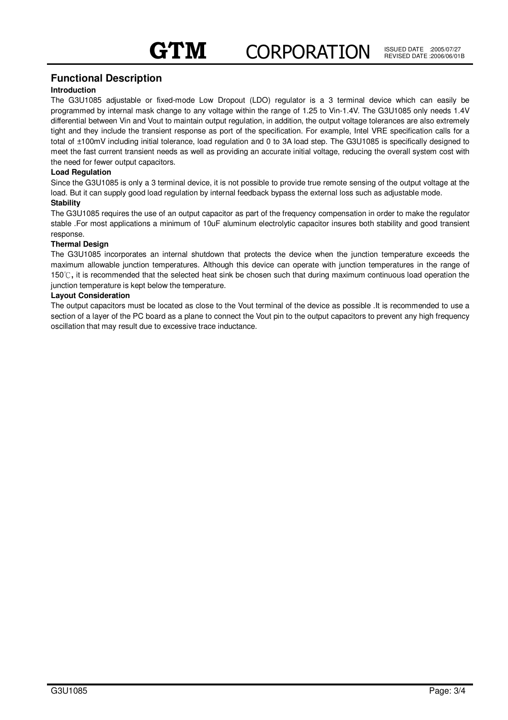#### **Functional Description**

#### **Introduction**

The G3U1085 adjustable or fixed-mode Low Dropout (LDO) regulator is a 3 terminal device which can easily be programmed by internal mask change to any voltage within the range of 1.25 to Vin-1.4V. The G3U1085 only needs 1.4V differential between Vin and Vout to maintain output regulation, in addition, the output voltage tolerances are also extremely tight and they include the transient response as port of the specification. For example, Intel VRE specification calls for a total of ±100mV including initial tolerance, load regulation and 0 to 3A load step. The G3U1085 is specifically designed to meet the fast current transient needs as well as providing an accurate initial voltage, reducing the overall system cost with the need for fewer output capacitors.

#### **Load Regulation**

Since the G3U1085 is only a 3 terminal device, it is not possible to provide true remote sensing of the output voltage at the load. But it can supply good load regulation by internal feedback bypass the external loss such as adjustable mode.

#### **Stability**

The G3U1085 requires the use of an output capacitor as part of the frequency compensation in order to make the regulator stable .For most applications a minimum of 10uF aluminum electrolytic capacitor insures both stability and good transient response.

#### **Thermal Design**

The G3U1085 incorporates an internal shutdown that protects the device when the junction temperature exceeds the maximum allowable junction temperatures. Although this device can operate with junction temperatures in the range of 150℃, it is recommended that the selected heat sink be chosen such that during maximum continuous load operation the junction temperature is kept below the temperature.

#### **Layout Consideration**

The output capacitors must be located as close to the Vout terminal of the device as possible .It is recommended to use a section of a layer of the PC board as a plane to connect the Vout pin to the output capacitors to prevent any high frequency oscillation that may result due to excessive trace inductance.